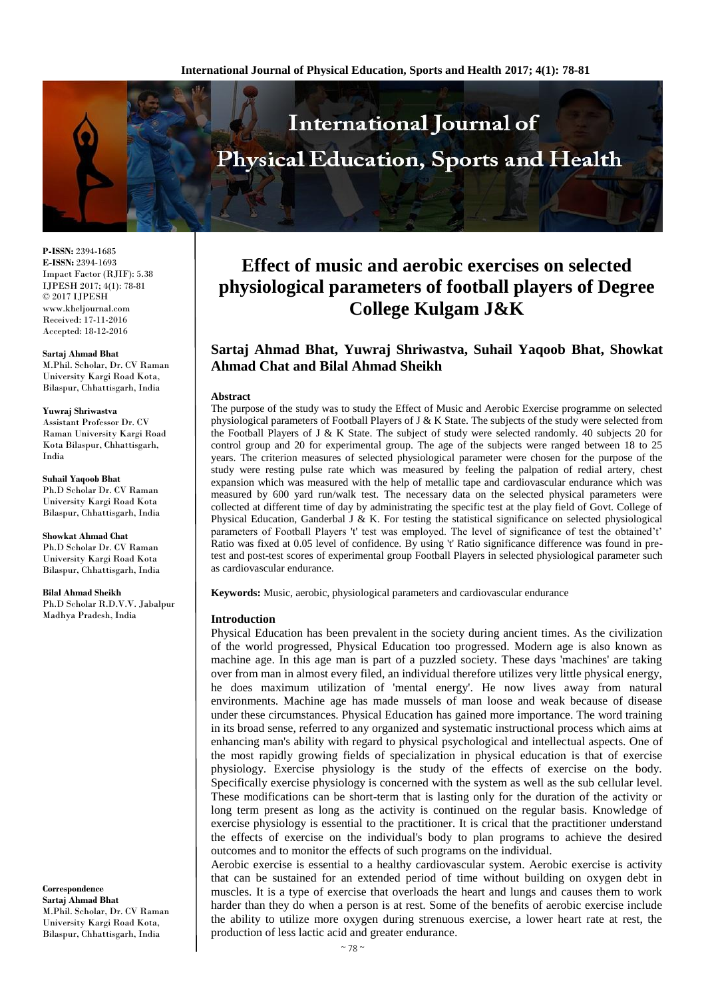

**P-ISSN:** 2394-1685 **E-ISSN:** 2394-1693 Impact Factor (RJIF): 5.38 IJPESH 2017; 4(1): 78-81 © 2017 IJPESH www.kheljournal.com Received: 17-11-2016 Accepted: 18-12-2016

**Sartaj Ahmad Bhat** M.Phil. Scholar, Dr. CV Raman University Kargi Road Kota, Bilaspur, Chhattisgarh, India

#### **Yuwraj Shriwastva**

Assistant Professor Dr. CV Raman University Kargi Road Kota Bilaspur, Chhattisgarh, India

**Suhail Yaqoob Bhat**

Ph.D Scholar Dr. CV Raman University Kargi Road Kota Bilaspur, Chhattisgarh, India

**Showkat Ahmad Chat** Ph.D Scholar Dr. CV Raman

University Kargi Road Kota Bilaspur, Chhattisgarh, India

**Bilal Ahmad Sheikh** Ph.D Scholar R.D.V.V. Jabalpur Madhya Pradesh, India

**Correspondence Sartaj Ahmad Bhat** M.Phil. Scholar, Dr. CV Raman University Kargi Road Kota, Bilaspur, Chhattisgarh, India

# **Effect of music and aerobic exercises on selected physiological parameters of football players of Degree College Kulgam J&K**

# **Sartaj Ahmad Bhat, Yuwraj Shriwastva, Suhail Yaqoob Bhat, Showkat Ahmad Chat and Bilal Ahmad Sheikh**

#### **Abstract**

The purpose of the study was to study the Effect of Music and Aerobic Exercise programme on selected physiological parameters of Football Players of J & K State. The subjects of the study were selected from the Football Players of J & K State. The subject of study were selected randomly. 40 subjects 20 for control group and 20 for experimental group. The age of the subjects were ranged between 18 to 25 years. The criterion measures of selected physiological parameter were chosen for the purpose of the study were resting pulse rate which was measured by feeling the palpation of redial artery, chest expansion which was measured with the help of metallic tape and cardiovascular endurance which was measured by 600 yard run/walk test. The necessary data on the selected physical parameters were collected at different time of day by administrating the specific test at the play field of Govt. College of Physical Education, Ganderbal J & K. For testing the statistical significance on selected physiological parameters of Football Players 't' test was employed. The level of significance of test the obtained't' Ratio was fixed at 0.05 level of confidence. By using 't' Ratio significance difference was found in pretest and post-test scores of experimental group Football Players in selected physiological parameter such as cardiovascular endurance.

**Keywords:** Music, aerobic, physiological parameters and cardiovascular endurance

#### **Introduction**

Physical Education has been prevalent in the society during ancient times. As the civilization of the world progressed, Physical Education too progressed. Modern age is also known as machine age. In this age man is part of a puzzled society. These days 'machines' are taking over from man in almost every filed, an individual therefore utilizes very little physical energy, he does maximum utilization of 'mental energy'. He now lives away from natural environments. Machine age has made mussels of man loose and weak because of disease under these circumstances. Physical Education has gained more importance. The word training in its broad sense, referred to any organized and systematic instructional process which aims at enhancing man's ability with regard to physical psychological and intellectual aspects. One of the most rapidly growing fields of specialization in physical education is that of exercise physiology. Exercise physiology is the study of the effects of exercise on the body. Specifically exercise physiology is concerned with the system as well as the sub cellular level. These modifications can be short-term that is lasting only for the duration of the activity or long term present as long as the activity is continued on the regular basis. Knowledge of exercise physiology is essential to the practitioner. It is crical that the practitioner understand the effects of exercise on the individual's body to plan programs to achieve the desired outcomes and to monitor the effects of such programs on the individual.

Aerobic exercise is essential to a healthy cardiovascular system. Aerobic exercise is activity that can be sustained for an extended period of time without building on oxygen debt in muscles. It is a type of exercise that overloads the heart and lungs and causes them to work harder than they do when a person is at rest. Some of the benefits of aerobic exercise include the ability to utilize more oxygen during strenuous exercise, a lower heart rate at rest, the production of less lactic acid and greater endurance.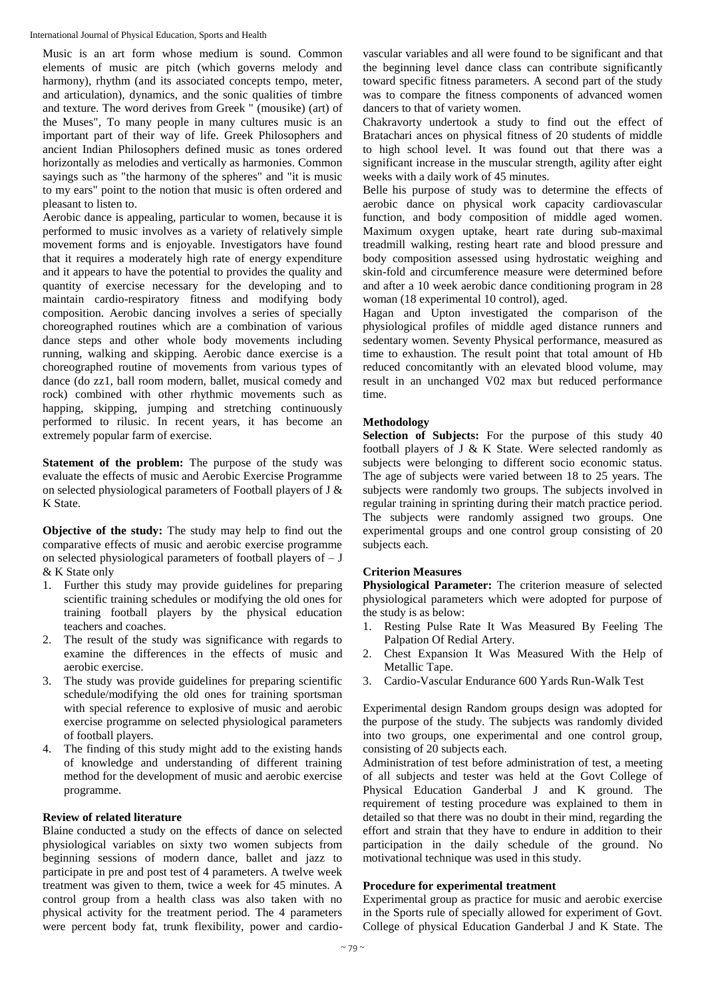Music is an art form whose medium is sound. Common elements of music are pitch (which governs melody and harmony), rhythm (and its associated concepts tempo, meter, and articulation), dynamics, and the sonic qualities of timbre and texture. The word derives from Greek " (mousike) (art) of the Muses", To many people in many cultures music is an important part of their way of life. Greek Philosophers and ancient Indian Philosophers defined music as tones ordered horizontally as melodies and vertically as harmonies. Common sayings such as "the harmony of the spheres" and "it is music to my ears" point to the notion that music is often ordered and pleasant to listen to.

Aerobic dance is appealing, particular to women, because it is performed to music involves as a variety of relatively simple movement forms and is enjoyable. Investigators have found that it requires a moderately high rate of energy expenditure and it appears to have the potential to provides the quality and quantity of exercise necessary for the developing and to maintain cardio-respiratory fitness and modifying body composition. Aerobic dancing involves a series of specially choreographed routines which are a combination of various dance steps and other whole body movements including running, walking and skipping. Aerobic dance exercise is a choreographed routine of movements from various types of dance (do zz1, ball room modern, ballet, musical comedy and rock) combined with other rhythmic movements such as happing, skipping, jumping and stretching continuously performed to rilusic. In recent years, it has become an extremely popular farm of exercise.

**Statement of the problem:** The purpose of the study was evaluate the effects of music and Aerobic Exercise Programme on selected physiological parameters of Football players of J & K State.

**Objective of the study:** The study may help to find out the comparative effects of music and aerobic exercise programme on selected physiological parameters of football players of  $-J$ & K State only

- 1. Further this study may provide guidelines for preparing scientific training schedules or modifying the old ones for training football players by the physical education teachers and coaches.
- 2. The result of the study was significance with regards to examine the differences in the effects of music and aerobic exercise.
- 3. The study was provide guidelines for preparing scientific schedule/modifying the old ones for training sportsman with special reference to explosive of music and aerobic exercise programme on selected physiological parameters of football players.
- 4. The finding of this study might add to the existing hands of knowledge and understanding of different training method for the development of music and aerobic exercise programme.

#### **Review of related literature**

Blaine conducted a study on the effects of dance on selected physiological variables on sixty two women subjects from beginning sessions of modern dance, ballet and jazz to participate in pre and post test of 4 parameters. A twelve week treatment was given to them, twice a week for 45 minutes. A control group from a health class was also taken with no physical activity for the treatment period. The 4 parameters were percent body fat, trunk flexibility, power and cardiovascular variables and all were found to be significant and that the beginning level dance class can contribute significantly toward specific fitness parameters. A second part of the study was to compare the fitness components of advanced women dancers to that of variety women.

Chakravorty undertook a study to find out the effect of Bratachari ances on physical fitness of 20 students of middle to high school level. It was found out that there was a significant increase in the muscular strength, agility after eight weeks with a daily work of 45 minutes.

Belle his purpose of study was to determine the effects of aerobic dance on physical work capacity cardiovascular function, and body composition of middle aged women. Maximum oxygen uptake, heart rate during sub-maximal treadmill walking, resting heart rate and blood pressure and body composition assessed using hydrostatic weighing and skin-fold and circumference measure were determined before and after a 10 week aerobic dance conditioning program in 28 woman (18 experimental 10 control), aged.

Hagan and Upton investigated the comparison of the physiological profiles of middle aged distance runners and sedentary women. Seventy Physical performance, measured as time to exhaustion. The result point that total amount of Hb reduced concomitantly with an elevated blood volume, may result in an unchanged V02 max but reduced performance time.

## **Methodology**

**Selection of Subjects:** For the purpose of this study 40 football players of J & K State. Were selected randomly as subjects were belonging to different socio economic status. The age of subjects were varied between 18 to 25 years. The subjects were randomly two groups. The subjects involved in regular training in sprinting during their match practice period. The subjects were randomly assigned two groups. One experimental groups and one control group consisting of 20 subjects each.

#### **Criterion Measures**

**Physiological Parameter:** The criterion measure of selected physiological parameters which were adopted for purpose of the study is as below:

- 1. Resting Pulse Rate It Was Measured By Feeling The Palpation Of Redial Artery.
- 2. Chest Expansion It Was Measured With the Help of Metallic Tape.
- 3. Cardio-Vascular Endurance 600 Yards Run-Walk Test

Experimental design Random groups design was adopted for the purpose of the study. The subjects was randomly divided into two groups, one experimental and one control group, consisting of 20 subjects each.

Administration of test before administration of test, a meeting of all subjects and tester was held at the Govt College of Physical Education Ganderbal J and K ground. The requirement of testing procedure was explained to them in detailed so that there was no doubt in their mind, regarding the effort and strain that they have to endure in addition to their participation in the daily schedule of the ground. No motivational technique was used in this study.

#### **Procedure for experimental treatment**

Experimental group as practice for music and aerobic exercise in the Sports rule of specially allowed for experiment of Govt. College of physical Education Ganderbal J and K State. The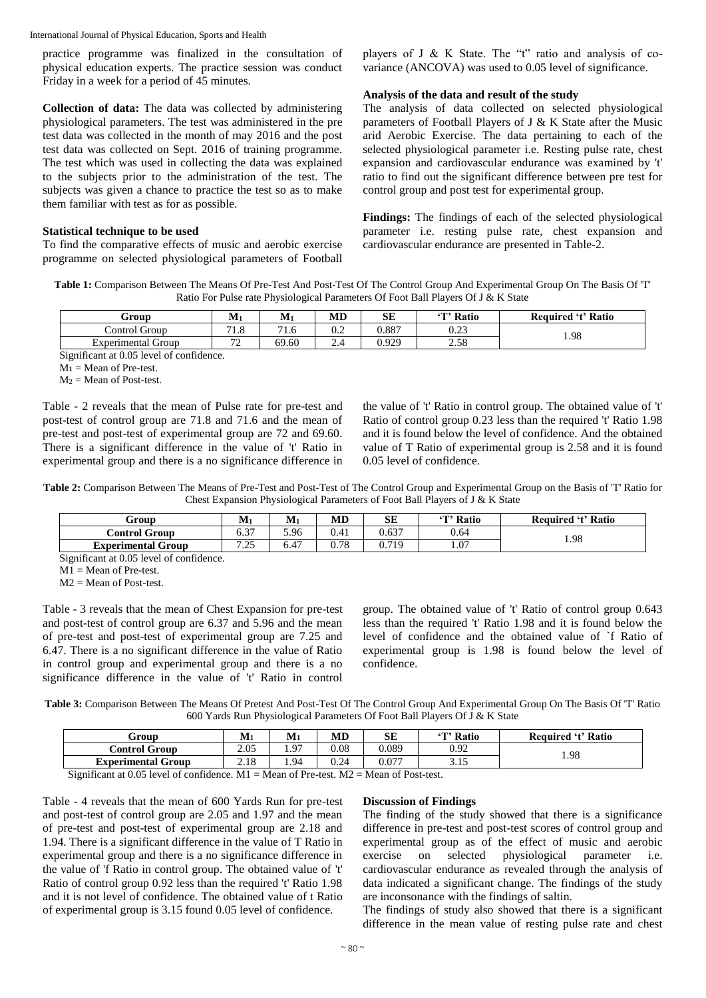practice programme was finalized in the consultation of physical education experts. The practice session was conduct Friday in a week for a period of 45 minutes.

**Collection of data:** The data was collected by administering physiological parameters. The test was administered in the pre test data was collected in the month of may 2016 and the post test data was collected on Sept. 2016 of training programme. The test which was used in collecting the data was explained to the subjects prior to the administration of the test. The subjects was given a chance to practice the test so as to make them familiar with test as for as possible.

#### **Statistical technique to be used**

To find the comparative effects of music and aerobic exercise programme on selected physiological parameters of Football players of J & K State. The "t" ratio and analysis of covariance (ANCOVA) was used to 0.05 level of significance.

#### **Analysis of the data and result of the study**

The analysis of data collected on selected physiological parameters of Football Players of J & K State after the Music arid Aerobic Exercise. The data pertaining to each of the selected physiological parameter i.e. Resting pulse rate, chest expansion and cardiovascular endurance was examined by 't' ratio to find out the significant difference between pre test for control group and post test for experimental group.

**Findings:** The findings of each of the selected physiological parameter i.e. resting pulse rate, chest expansion and cardiovascular endurance are presented in Table-2.

**Table 1:** Comparison Between The Means Of Pre-Test And Post-Test Of The Control Group And Experimental Group On The Basis Of 'T' Ratio For Pulse rate Physiological Parameters Of Foot Ball Players Of J & K State

| Group                                   | . .<br>IVI 1 | $M_1$     | MD  | SE    | <b>T' Ratio</b> | ' 't' Ratio<br>Required |
|-----------------------------------------|--------------|-----------|-----|-------|-----------------|-------------------------|
| $\sim$<br>control<br>Group              | 71 O<br>1.U  | 71<br>1.U | v.∠ | 0.887 | 0.22<br>∪.∠J    | 1.98                    |
| -<br>Group<br>Experimental<br>$\lambda$ | $\mathbf{a}$ | 69.60     | ∸…– | 0.929 | 250<br>2.30     |                         |

Significant at 0.05 level of confidence.

 $M_1$  = Mean of Pre-test.

 $M_2$  = Mean of Post-test.

Table - 2 reveals that the mean of Pulse rate for pre-test and post-test of control group are 71.8 and 71.6 and the mean of pre-test and post-test of experimental group are 72 and 69.60. There is a significant difference in the value of 't' Ratio in experimental group and there is a no significance difference in the value of 't' Ratio in control group. The obtained value of 't' Ratio of control group 0.23 less than the required 't' Ratio 1.98 and it is found below the level of confidence. And the obtained value of T Ratio of experimental group is 2.58 and it is found 0.05 level of confidence.

**Table 2:** Comparison Between The Means of Pre-Test and Post-Test of The Control Group and Experimental Group on the Basis of 'T' Ratio for Chest Expansion Physiological Parameters of Foot Ball Players of J & K State

| Group                     | $\mathbf{M}_1$         | $M1$ | MD   | SЕ    | <sup>'</sup> T' Ratio | `'t' Ratio<br>Reauired |
|---------------------------|------------------------|------|------|-------|-----------------------|------------------------|
| Control Group             | $\sim$ $\sim$<br>0.3 i | 5.96 | 0.41 | 0.637 | 0.64                  | 1.98                   |
| <b>Experimental Group</b> | ワ つぐ<br>ر _            | 6.47 | 0.78 | 0.719 | 1.07                  |                        |

Significant at 0.05 level of confidence.

M1 = Mean of Pre-test.

 $M2$  = Mean of Post-test.

Table - 3 reveals that the mean of Chest Expansion for pre-test and post-test of control group are 6.37 and 5.96 and the mean of pre-test and post-test of experimental group are 7.25 and 6.47. There is a no significant difference in the value of Ratio in control group and experimental group and there is a no significance difference in the value of 't' Ratio in control group. The obtained value of 't' Ratio of control group 0.643 less than the required 't' Ratio 1.98 and it is found below the level of confidence and the obtained value of `f Ratio of experimental group is 1.98 is found below the level of confidence.

**Table 3:** Comparison Between The Means Of Pretest And Post-Test Of The Control Group And Experimental Group On The Basis Of 'T' Ratio 600 Yards Run Physiological Parameters Of Foot Ball Players Of J & K State

| Group                                                                                  | $\mathbf{M}_1$               | $\mathbf{M}_1$     | MD           | SЕ                            | <b>T' Ratio</b> | <b>Required 't' Ratio</b> |
|----------------------------------------------------------------------------------------|------------------------------|--------------------|--------------|-------------------------------|-----------------|---------------------------|
| Control Group                                                                          | 2.05                         | Q <sub>7</sub><br> | 0.08         | 0.089                         | 0.92            | 1.98                      |
| <b>Experimental Group</b>                                                              | າ 10<br>4.IO                 | . 94               | 0.24         | 0.077                         | ن ۱۰ ب          |                           |
| $\cdot$ $\sim$<br>$\sim$ $\sim$<br>$\sim$<br>$\sim$ $\sim$ $\sim$ $\sim$ $\sim$ $\sim$ | $\mathbf{r}$<br>$\mathbf{r}$ | $\sim$ $\sim$      | $\mathbf{r}$ | $\sim$ $\sim$<br>$\mathbf{r}$ | .               |                           |

Significant at 0.05 level of confidence.  $M1 = Mean$  of Pre-test.  $M2 = Mean$  of Post-test.

Table - 4 reveals that the mean of 600 Yards Run for pre-test and post-test of control group are 2.05 and 1.97 and the mean of pre-test and post-test of experimental group are 2.18 and 1.94. There is a significant difference in the value of T Ratio in experimental group and there is a no significance difference in the value of 'f Ratio in control group. The obtained value of 't' Ratio of control group 0.92 less than the required 't' Ratio 1.98 and it is not level of confidence. The obtained value of t Ratio of experimental group is 3.15 found 0.05 level of confidence.

#### **Discussion of Findings**

The finding of the study showed that there is a significance difference in pre-test and post-test scores of control group and experimental group as of the effect of music and aerobic exercise on selected physiological parameter i.e. cardiovascular endurance as revealed through the analysis of data indicated a significant change. The findings of the study are inconsonance with the findings of saltin.

The findings of study also showed that there is a significant difference in the mean value of resting pulse rate and chest